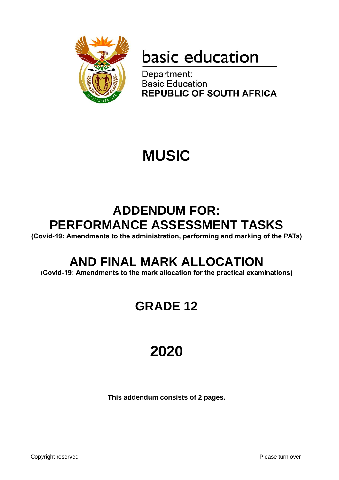

# basic education

Department: **Basic Education REPUBLIC OF SOUTH AFRICA** 

## **MUSIC**

### **ADDENDUM FOR: PERFORMANCE ASSESSMENT TASKS**

**(Covid-19: Amendments to the administration, performing and marking of the PATs)**

### **AND FINAL MARK ALLOCATION**

**(Covid-19: Amendments to the mark allocation for the practical examinations)**

### **GRADE 12**

## **2020**

**This addendum consists of 2 pages.**